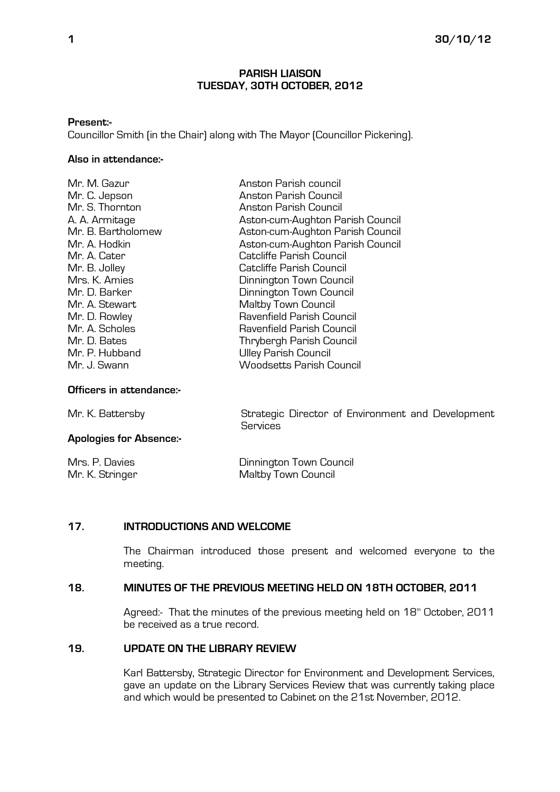#### PARISH LIAISON TUESDAY, 30TH OCTOBER, 2012

#### Present:-

Councillor Smith (in the Chair) along with The Mayor (Councillor Pickering).

## Also in attendance:-

| Mr. C. Jepson<br>Anston Parish Council                 |  |
|--------------------------------------------------------|--|
|                                                        |  |
| Mr. S. Thornton<br>Anston Parish Council               |  |
| A. A. Armitage<br>Aston-cum-Aughton Parish Council     |  |
| Aston-cum-Aughton Parish Council<br>Mr. B. Bartholomew |  |
| Aston-cum-Aughton Parish Council<br>Mr. A. Hodkin      |  |
| Catcliffe Parish Council<br>Mr. A. Cater               |  |
| Mr. B. Jolley<br>Catcliffe Parish Council              |  |
| Mrs. K. Amies<br>Dinnington Town Council               |  |
| Dinnington Town Council<br>Mr. D. Barker               |  |
| Maltby Town Council<br>Mr. A. Stewart                  |  |
| Ravenfield Parish Council<br>Mr. D. Rowley             |  |
| Mr. A. Scholes<br>Ravenfield Parish Council            |  |
| Mr. D. Bates<br>Thrybergh Parish Council               |  |
| Mr. P. Hubband<br><b>Ulley Parish Council</b>          |  |
| Mr. J. Swann<br><b>Woodsetts Parish Council</b>        |  |

#### Officers in attendance:-

Mr. K. Battersby Strategic Director of Environment and Development Services

| <b>Apologies for Absence:-</b> |  |
|--------------------------------|--|
|                                |  |

Mrs. P. Davies Dinnington Town Council Maltby Town Council

## 17. INTRODUCTIONS AND WELCOME

The Chairman introduced those present and welcomed everyone to the meeting.

## 18. MINUTES OF THE PREVIOUS MEETING HELD ON 18TH OCTOBER, 2011

Agreed:- That the minutes of the previous meeting held on 18<sup>th</sup> October, 2011 be received as a true record.

## 19. UPDATE ON THE LIBRARY REVIEW

Karl Battersby, Strategic Director for Environment and Development Services, gave an update on the Library Services Review that was currently taking place and which would be presented to Cabinet on the 21st November, 2012.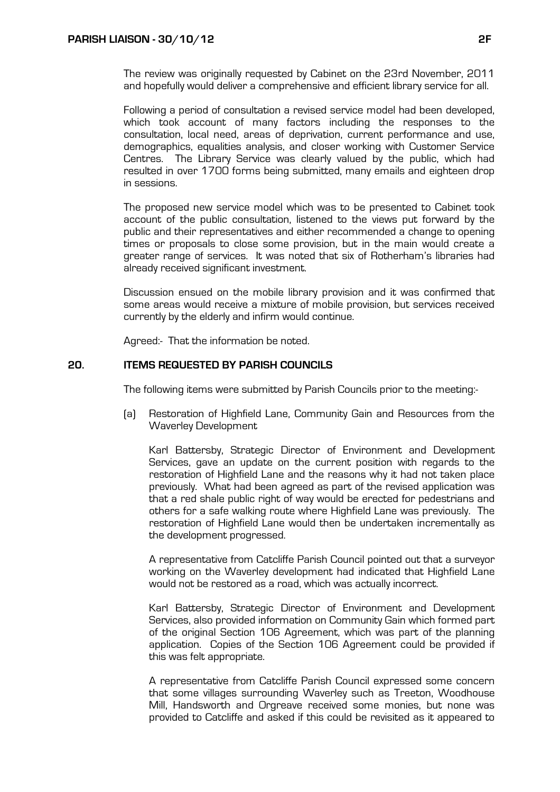The review was originally requested by Cabinet on the 23rd November, 2011 and hopefully would deliver a comprehensive and efficient library service for all.

Following a period of consultation a revised service model had been developed, which took account of many factors including the responses to the consultation, local need, areas of deprivation, current performance and use, demographics, equalities analysis, and closer working with Customer Service Centres. The Library Service was clearly valued by the public, which had resulted in over 1700 forms being submitted, many emails and eighteen drop in sessions.

The proposed new service model which was to be presented to Cabinet took account of the public consultation, listened to the views put forward by the public and their representatives and either recommended a change to opening times or proposals to close some provision, but in the main would create a greater range of services. It was noted that six of Rotherham's libraries had already received significant investment.

Discussion ensued on the mobile library provision and it was confirmed that some areas would receive a mixture of mobile provision, but services received currently by the elderly and infirm would continue.

Agreed:- That the information be noted.

# 20. ITEMS REQUESTED BY PARISH COUNCILS

The following items were submitted by Parish Councils prior to the meeting:-

(a) Restoration of Highfield Lane, Community Gain and Resources from the Waverley Development

 Karl Battersby, Strategic Director of Environment and Development Services, gave an update on the current position with regards to the restoration of Highfield Lane and the reasons why it had not taken place previously. What had been agreed as part of the revised application was that a red shale public right of way would be erected for pedestrians and others for a safe walking route where Highfield Lane was previously. The restoration of Highfield Lane would then be undertaken incrementally as the development progressed.

 A representative from Catcliffe Parish Council pointed out that a surveyor working on the Waverley development had indicated that Highfield Lane would not be restored as a road, which was actually incorrect.

 Karl Battersby, Strategic Director of Environment and Development Services, also provided information on Community Gain which formed part of the original Section 106 Agreement, which was part of the planning application. Copies of the Section 106 Agreement could be provided if this was felt appropriate.

 A representative from Catcliffe Parish Council expressed some concern that some villages surrounding Waverley such as Treeton, Woodhouse Mill, Handsworth and Orgreave received some monies, but none was provided to Catcliffe and asked if this could be revisited as it appeared to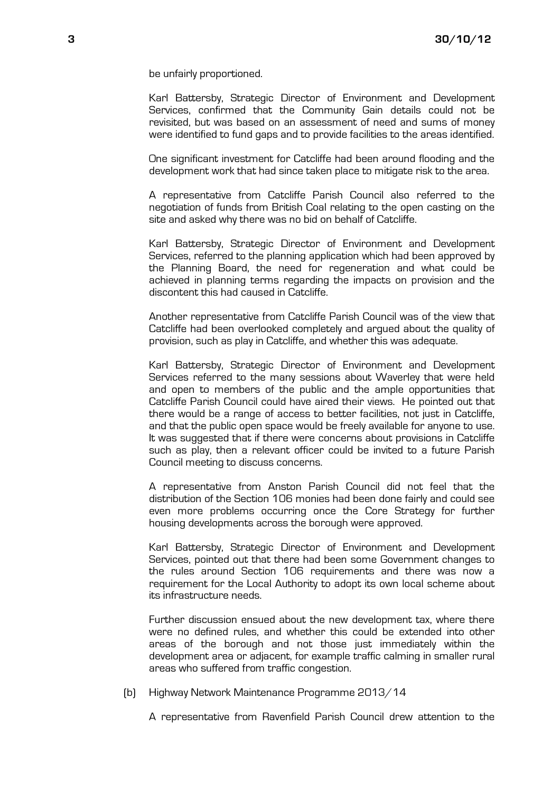be unfairly proportioned.

 Karl Battersby, Strategic Director of Environment and Development Services, confirmed that the Community Gain details could not be revisited, but was based on an assessment of need and sums of money were identified to fund gaps and to provide facilities to the areas identified.

 One significant investment for Catcliffe had been around flooding and the development work that had since taken place to mitigate risk to the area.

 A representative from Catcliffe Parish Council also referred to the negotiation of funds from British Coal relating to the open casting on the site and asked why there was no bid on behalf of Catcliffe.

 Karl Battersby, Strategic Director of Environment and Development Services, referred to the planning application which had been approved by the Planning Board, the need for regeneration and what could be achieved in planning terms regarding the impacts on provision and the discontent this had caused in Catcliffe.

 Another representative from Catcliffe Parish Council was of the view that Catcliffe had been overlooked completely and argued about the quality of provision, such as play in Catcliffe, and whether this was adequate.

 Karl Battersby, Strategic Director of Environment and Development Services referred to the many sessions about Waverley that were held and open to members of the public and the ample opportunities that Catcliffe Parish Council could have aired their views. He pointed out that there would be a range of access to better facilities, not just in Catcliffe, and that the public open space would be freely available for anyone to use. It was suggested that if there were concerns about provisions in Catcliffe such as play, then a relevant officer could be invited to a future Parish Council meeting to discuss concerns.

 A representative from Anston Parish Council did not feel that the distribution of the Section 106 monies had been done fairly and could see even more problems occurring once the Core Strategy for further housing developments across the borough were approved.

 Karl Battersby, Strategic Director of Environment and Development Services, pointed out that there had been some Government changes to the rules around Section 106 requirements and there was now a requirement for the Local Authority to adopt its own local scheme about its infrastructure needs.

 Further discussion ensued about the new development tax, where there were no defined rules, and whether this could be extended into other areas of the borough and not those just immediately within the development area or adjacent, for example traffic calming in smaller rural areas who suffered from traffic congestion.

(b) Highway Network Maintenance Programme 2013/14

A representative from Ravenfield Parish Council drew attention to the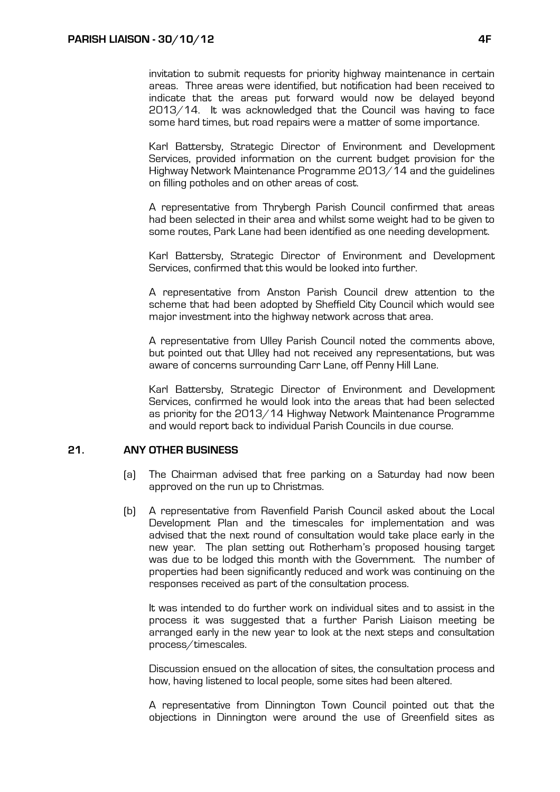invitation to submit requests for priority highway maintenance in certain areas. Three areas were identified, but notification had been received to indicate that the areas put forward would now be delayed beyond 2013/14. It was acknowledged that the Council was having to face some hard times, but road repairs were a matter of some importance.

 Karl Battersby, Strategic Director of Environment and Development Services, provided information on the current budget provision for the Highway Network Maintenance Programme 2013/14 and the guidelines on filling potholes and on other areas of cost.

 A representative from Thrybergh Parish Council confirmed that areas had been selected in their area and whilst some weight had to be given to some routes, Park Lane had been identified as one needing development.

 Karl Battersby, Strategic Director of Environment and Development Services, confirmed that this would be looked into further.

 A representative from Anston Parish Council drew attention to the scheme that had been adopted by Sheffield City Council which would see major investment into the highway network across that area.

 A representative from Ulley Parish Council noted the comments above, but pointed out that Ulley had not received any representations, but was aware of concerns surrounding Carr Lane, off Penny Hill Lane.

 Karl Battersby, Strategic Director of Environment and Development Services, confirmed he would look into the areas that had been selected as priority for the 2013/14 Highway Network Maintenance Programme and would report back to individual Parish Councils in due course.

## 21. ANY OTHER BUSINESS

- (a) The Chairman advised that free parking on a Saturday had now been approved on the run up to Christmas.
- (b) A representative from Ravenfield Parish Council asked about the Local Development Plan and the timescales for implementation and was advised that the next round of consultation would take place early in the new year. The plan setting out Rotherham's proposed housing target was due to be lodged this month with the Government. The number of properties had been significantly reduced and work was continuing on the responses received as part of the consultation process.

 It was intended to do further work on individual sites and to assist in the process it was suggested that a further Parish Liaison meeting be arranged early in the new year to look at the next steps and consultation process/timescales.

 Discussion ensued on the allocation of sites, the consultation process and how, having listened to local people, some sites had been altered.

 A representative from Dinnington Town Council pointed out that the objections in Dinnington were around the use of Greenfield sites as